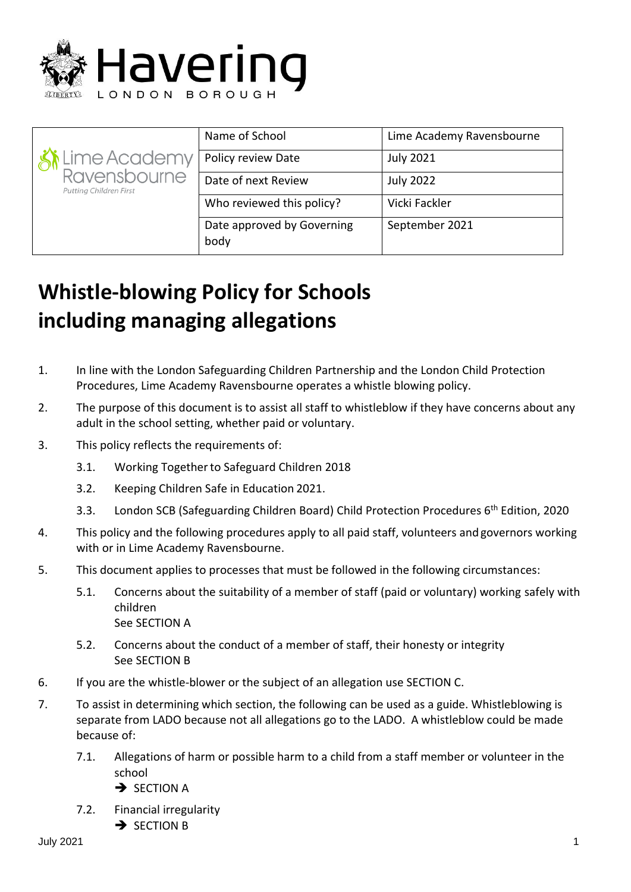

| Ki Lime Academy<br>Ravensbourne<br>Putting Children First | Name of School                     | Lime Academy Ravensbourne |
|-----------------------------------------------------------|------------------------------------|---------------------------|
|                                                           | Policy review Date                 | <b>July 2021</b>          |
|                                                           | Date of next Review                | <b>July 2022</b>          |
|                                                           | Who reviewed this policy?          | Vicki Fackler             |
|                                                           | Date approved by Governing<br>body | September 2021            |

# **Whistle-blowing Policy for Schools including managing allegations**

- 1. In line with the London Safeguarding Children Partnership and the London Child Protection Procedures, Lime Academy Ravensbourne operates a whistle blowing policy.
- 2. The purpose of this document is to assist all staff to whistleblow if they have concerns about any adult in the school setting, whether paid or voluntary.
- 3. This policy reflects the requirements of:
	- 3.1. Working Togetherto Safeguard Children 2018
	- 3.2. Keeping Children Safe in Education 2021.
	- 3.3. London SCB (Safeguarding Children Board) Child Protection Procedures 6<sup>th</sup> Edition, 2020
- 4. This policy and the following procedures apply to all paid staff, volunteers andgovernors working with or in Lime Academy Ravensbourne.
- 5. This document applies to processes that must be followed in the following circumstances:
	- 5.1. Concerns about the suitability of a member of staff (paid or voluntary) working safely with children See SECTION A
	- 5.2. Concerns about the conduct of a member of staff, their honesty or integrity See SECTION B
- 6. If you are the whistle-blower or the subject of an allegation use SECTION C.
- 7. To assist in determining which section, the following can be used as a guide. Whistleblowing is separate from LADO because not all allegations go to the LADO. A whistleblow could be made because of:
	- 7.1. Allegations of harm or possible harm to a child from a staff member or volunteer in the school
		- **→ SECTION A**
	- 7.2. Financial irregularity
		- **→ SECTION B**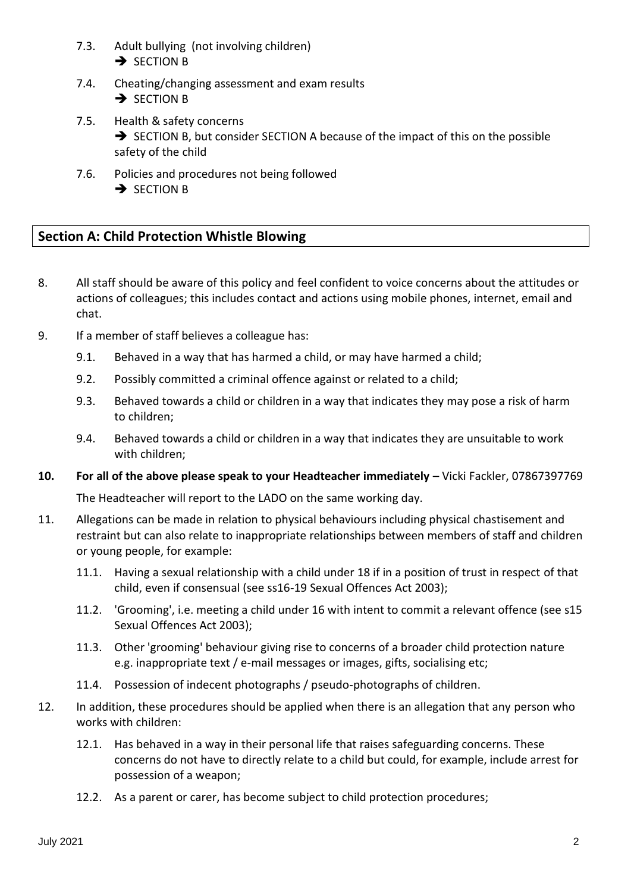- 7.3. Adult bullying (not involving children) **→ SECTION B**
- 7.4. Cheating/changing assessment and exam results **→ SECTION B**
- 7.5. Health & safety concerns ➔ SECTION B, but consider SECTION A because of the impact of this on the possible safety of the child
- 7.6. Policies and procedures not being followed **→ SECTION B**

# **Section A: Child Protection Whistle Blowing**

- 8. All staff should be aware of this policy and feel confident to voice concerns about the attitudes or actions of colleagues; this includes contact and actions using mobile phones, internet, email and chat.
- 9. If a member of staff believes a colleague has:
	- 9.1. Behaved in a way that has harmed a child, or may have harmed a child;
	- 9.2. Possibly committed a criminal offence against or related to a child;
	- 9.3. Behaved towards a child or children in a way that indicates they may pose a risk of harm to children;
	- 9.4. Behaved towards a child or children in a way that indicates they are unsuitable to work with children;
- **10. For all of the above please speak to your Headteacher immediately –** Vicki Fackler, 07867397769

The Headteacher will report to the LADO on the same working day.

- 11. Allegations can be made in relation to physical behaviours including physical chastisement and restraint but can also relate to inappropriate relationships between members of staff and children or young people, for example:
	- 11.1. Having a sexual relationship with a child under 18 if in a position of trust in respect of that child, even if consensual (see ss16-19 Sexual Offences Act 2003);
	- 11.2. 'Grooming', i.e. meeting a child under 16 with intent to commit a relevant offence (see s15 Sexual Offences Act 2003);
	- 11.3. Other 'grooming' behaviour giving rise to concerns of a broader child protection nature e.g. inappropriate text / e-mail messages or images, gifts, socialising etc;
	- 11.4. Possession of indecent photographs / pseudo-photographs of children.
- 12. In addition, these procedures should be applied when there is an allegation that any person who works with children:
	- 12.1. Has behaved in a way in their personal life that raises safeguarding concerns. These concerns do not have to directly relate to a child but could, for example, include arrest for possession of a weapon;
	- 12.2. As a parent or carer, has become subject to child protection procedures;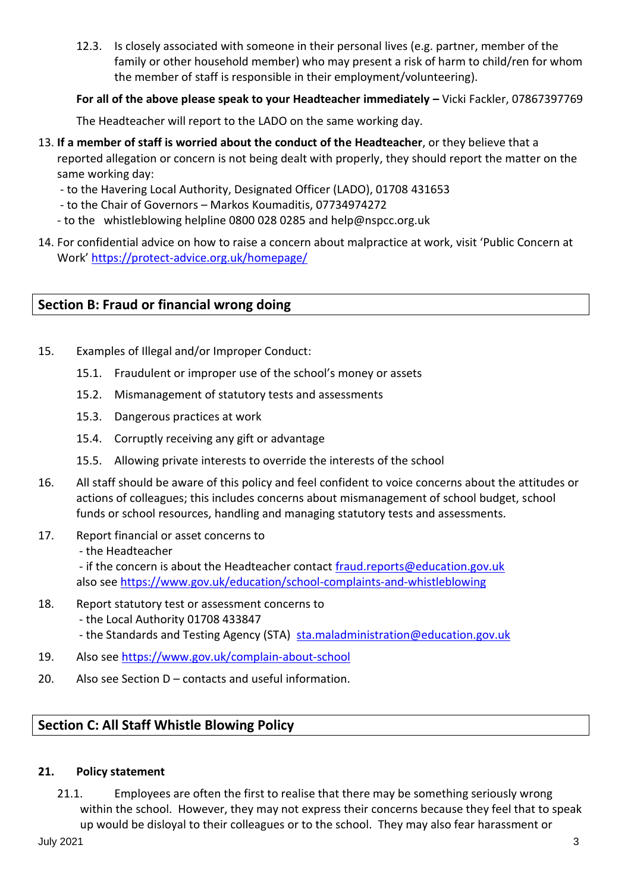12.3. Is closely associated with someone in their personal lives (e.g. partner, member of the family or other household member) who may present a risk of harm to child/ren for whom the member of staff is responsible in their employment/volunteering).

# **For all of the above please speak to your Headteacher immediately –** Vicki Fackler, 07867397769

The Headteacher will report to the LADO on the same working day.

- 13. **If a member of staff is worried about the conduct of the Headteacher**, or they believe that a reported allegation or concern is not being dealt with properly, they should report the matter on the same working day:
	- to the Havering Local Authority, Designated Officer (LADO), 01708 431653
	- to the Chair of Governors Markos Koumaditis, 07734974272
	- to the whistleblowing helpline 0800 028 0285 and help@nspcc.org.uk
- 14. For confidential advice on how to raise a concern about malpractice at work, visit 'Public Concern at Work' <https://protect-advice.org.uk/homepage/>

# **Section B: Fraud or financial wrong doing**

- 15. Examples of Illegal and/or Improper Conduct:
	- 15.1. Fraudulent or improper use of the school's money or assets
	- 15.2. Mismanagement of statutory tests and assessments
	- 15.3. Dangerous practices at work
	- 15.4. Corruptly receiving any gift or advantage
	- 15.5. Allowing private interests to override the interests of the school
- 16. All staff should be aware of this policy and feel confident to voice concerns about the attitudes or actions of colleagues; this includes concerns about mismanagement of school budget, school funds or school resources, handling and managing statutory tests and assessments.
- 17. Report financial or asset concerns to
	- the Headteacher

- if the concern is about the Headteacher contact [fraud.reports@education.gov.uk](mailto:fraud.reports@education.gov.uk) also see<https://www.gov.uk/education/school-complaints-and-whistleblowing>

- 18. Report statutory test or assessment concerns to
	- the Local Authority 01708 433847
	- the Standards and Testing Agency (STA) [sta.maladministration@education.gov.uk](mailto:sta.maladministration@education.gov.uk)
- 19. Also see<https://www.gov.uk/complain-about-school>
- 20. Also see Section D contacts and useful information.

# **Section C: All Staff Whistle Blowing Policy**

#### **21. Policy statement**

21.1. Employees are often the first to realise that there may be something seriously wrong within the school. However, they may not express their concerns because they feel that to speak up would be disloyal to their colleagues or to the school. They may also fear harassment or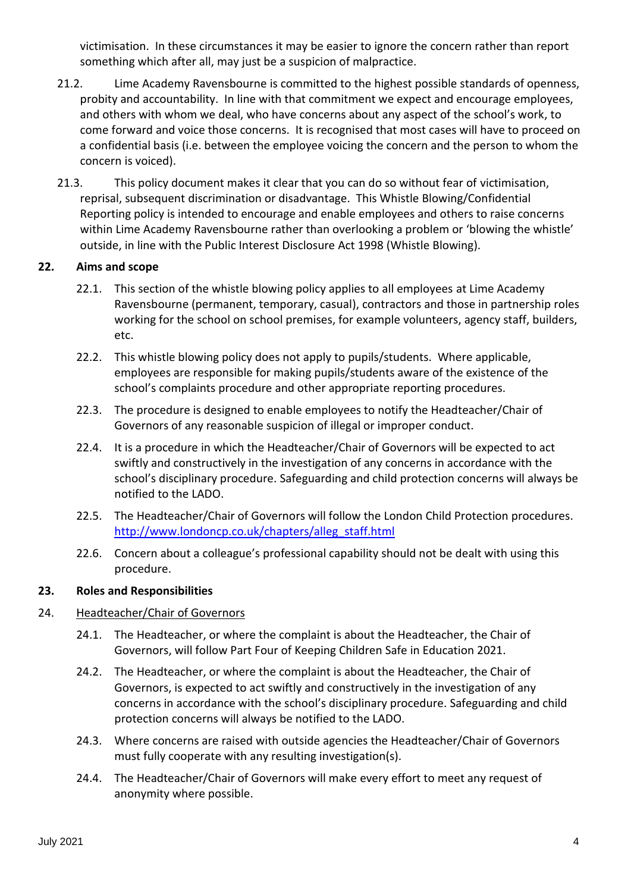victimisation. In these circumstances it may be easier to ignore the concern rather than report something which after all, may just be a suspicion of malpractice.

- 21.2. Lime Academy Ravensbourne is committed to the highest possible standards of openness, probity and accountability. In line with that commitment we expect and encourage employees, and others with whom we deal, who have concerns about any aspect of the school's work, to come forward and voice those concerns. It is recognised that most cases will have to proceed on a confidential basis (i.e. between the employee voicing the concern and the person to whom the concern is voiced).
- 21.3. This policy document makes it clear that you can do so without fear of victimisation, reprisal, subsequent discrimination or disadvantage. This Whistle Blowing/Confidential Reporting policy is intended to encourage and enable employees and others to raise concerns within Lime Academy Ravensbourne rather than overlooking a problem or 'blowing the whistle' outside, in line with the Public Interest Disclosure Act 1998 (Whistle Blowing).

# **22. Aims and scope**

- 22.1. This section of the whistle blowing policy applies to all employees at Lime Academy Ravensbourne (permanent, temporary, casual), contractors and those in partnership roles working for the school on school premises, for example volunteers, agency staff, builders, etc.
- 22.2. This whistle blowing policy does not apply to pupils/students. Where applicable, employees are responsible for making pupils/students aware of the existence of the school's complaints procedure and other appropriate reporting procedures.
- 22.3. The procedure is designed to enable employees to notify the Headteacher/Chair of Governors of any reasonable suspicion of illegal or improper conduct.
- 22.4. It is a procedure in which the Headteacher/Chair of Governors will be expected to act swiftly and constructively in the investigation of any concerns in accordance with the school's disciplinary procedure. Safeguarding and child protection concerns will always be notified to the LADO.
- 22.5. The Headteacher/Chair of Governors will follow the London Child Protection procedures. [http://www.londoncp.co.uk/chapters/alleg\\_staff.html](http://www.londoncp.co.uk/chapters/alleg_staff.html)
- 22.6. Concern about a colleague's professional capability should not be dealt with using this procedure.

# **23. Roles and Responsibilities**

# 24. Headteacher/Chair of Governors

- 24.1. The Headteacher, or where the complaint is about the Headteacher, the Chair of Governors, will follow Part Four of Keeping Children Safe in Education 2021.
- 24.2. The Headteacher, or where the complaint is about the Headteacher, the Chair of Governors, is expected to act swiftly and constructively in the investigation of any concerns in accordance with the school's disciplinary procedure. Safeguarding and child protection concerns will always be notified to the LADO.
- 24.3. Where concerns are raised with outside agencies the Headteacher/Chair of Governors must fully cooperate with any resulting investigation(s).
- 24.4. The Headteacher/Chair of Governors will make every effort to meet any request of anonymity where possible.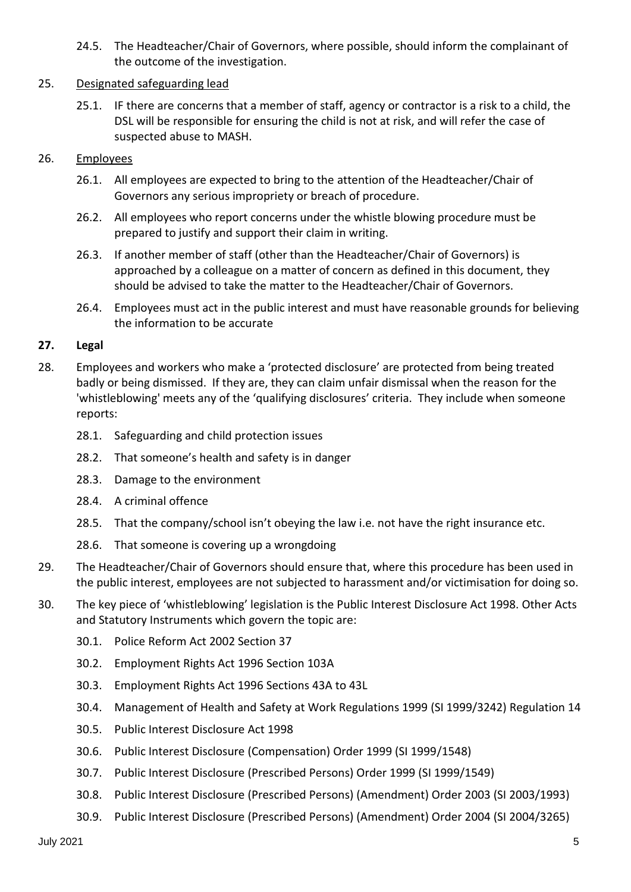24.5. The Headteacher/Chair of Governors, where possible, should inform the complainant of the outcome of the investigation.

# 25. Designated safeguarding lead

25.1. IF there are concerns that a member of staff, agency or contractor is a risk to a child, the DSL will be responsible for ensuring the child is not at risk, and will refer the case of suspected abuse to MASH.

### 26. Employees

- 26.1. All employees are expected to bring to the attention of the Headteacher/Chair of Governors any serious impropriety or breach of procedure.
- 26.2. All employees who report concerns under the whistle blowing procedure must be prepared to justify and support their claim in writing.
- 26.3. If another member of staff (other than the Headteacher/Chair of Governors) is approached by a colleague on a matter of concern as defined in this document, they should be advised to take the matter to the Headteacher/Chair of Governors.
- 26.4. Employees must act in the public interest and must have reasonable grounds for believing the information to be accurate

#### **27. Legal**

- 28. Employees and workers who make a 'protected disclosure' are protected from being treated badly or being dismissed. If they are, they can claim unfair dismissal when the reason for the 'whistleblowing' meets any of the 'qualifying disclosures' criteria. They include when someone reports:
	- 28.1. Safeguarding and child protection issues
	- 28.2. That someone's health and safety is in danger
	- 28.3. Damage to the environment
	- 28.4. A criminal offence
	- 28.5. That the company/school isn't obeying the law i.e. not have the right insurance etc.
	- 28.6. That someone is covering up a wrongdoing
- 29. The Headteacher/Chair of Governors should ensure that, where this procedure has been used in the public interest, employees are not subjected to harassment and/or victimisation for doing so.
- 30. The key piece of 'whistleblowing' legislation is the Public Interest Disclosure Act 1998. Other Acts and Statutory Instruments which govern the topic are:
	- 30.1. Police Reform Act 2002 Section 37
	- 30.2. Employment Rights Act 1996 Section 103A
	- 30.3. Employment Rights Act 1996 Sections 43A to 43L
	- 30.4. Management of Health and Safety at Work Regulations 1999 (SI 1999/3242) Regulation 14
	- 30.5. Public Interest Disclosure Act 1998
	- 30.6. Public Interest Disclosure (Compensation) Order 1999 (SI 1999/1548)
	- 30.7. Public Interest Disclosure (Prescribed Persons) Order 1999 (SI 1999/1549)
	- 30.8. Public Interest Disclosure (Prescribed Persons) (Amendment) Order 2003 (SI 2003/1993)
	- 30.9. Public Interest Disclosure (Prescribed Persons) (Amendment) Order 2004 (SI 2004/3265)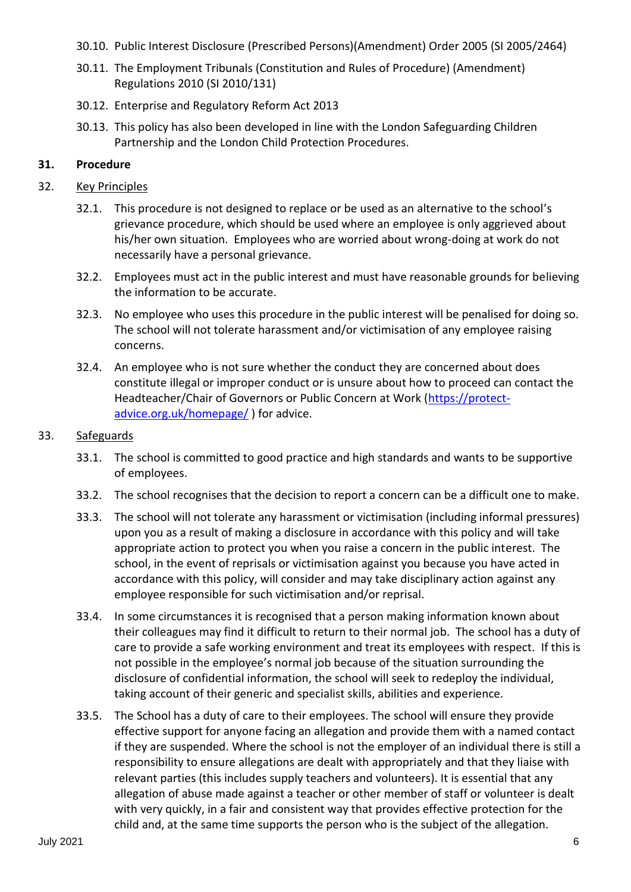- 30.10. Public Interest Disclosure (Prescribed Persons)(Amendment) Order 2005 (SI 2005/2464)
- 30.11. The Employment Tribunals (Constitution and Rules of Procedure) (Amendment) Regulations 2010 (SI 2010/131)
- 30.12. Enterprise and Regulatory Reform Act 2013
- 30.13. This policy has also been developed in line with the London Safeguarding Children Partnership and the London Child Protection Procedures.

# **31. Procedure**

### 32. Key Principles

- 32.1. This procedure is not designed to replace or be used as an alternative to the school's grievance procedure, which should be used where an employee is only aggrieved about his/her own situation. Employees who are worried about wrong-doing at work do not necessarily have a personal grievance.
- 32.2. Employees must act in the public interest and must have reasonable grounds for believing the information to be accurate.
- 32.3. No employee who uses this procedure in the public interest will be penalised for doing so. The school will not tolerate harassment and/or victimisation of any employee raising concerns.
- 32.4. An employee who is not sure whether the conduct they are concerned about does constitute illegal or improper conduct or is unsure about how to proceed can contact the Headteacher/Chair of Governors or Public Concern at Work [\(https://protect](https://protect-advice.org.uk/homepage/)[advice.org.uk/homepage/](https://protect-advice.org.uk/homepage/) ) for advice.

#### 33. Safeguards

- 33.1. The school is committed to good practice and high standards and wants to be supportive of employees.
- 33.2. The school recognises that the decision to report a concern can be a difficult one to make.
- 33.3. The school will not tolerate any harassment or victimisation (including informal pressures) upon you as a result of making a disclosure in accordance with this policy and will take appropriate action to protect you when you raise a concern in the public interest. The school, in the event of reprisals or victimisation against you because you have acted in accordance with this policy, will consider and may take disciplinary action against any employee responsible for such victimisation and/or reprisal.
- 33.4. In some circumstances it is recognised that a person making information known about their colleagues may find it difficult to return to their normal job. The school has a duty of care to provide a safe working environment and treat its employees with respect. If this is not possible in the employee's normal job because of the situation surrounding the disclosure of confidential information, the school will seek to redeploy the individual, taking account of their generic and specialist skills, abilities and experience.
- 33.5. The School has a duty of care to their employees. The school will ensure they provide effective support for anyone facing an allegation and provide them with a named contact if they are suspended. Where the school is not the employer of an individual there is still a responsibility to ensure allegations are dealt with appropriately and that they liaise with relevant parties (this includes supply teachers and volunteers). It is essential that any allegation of abuse made against a teacher or other member of staff or volunteer is dealt with very quickly, in a fair and consistent way that provides effective protection for the child and, at the same time supports the person who is the subject of the allegation.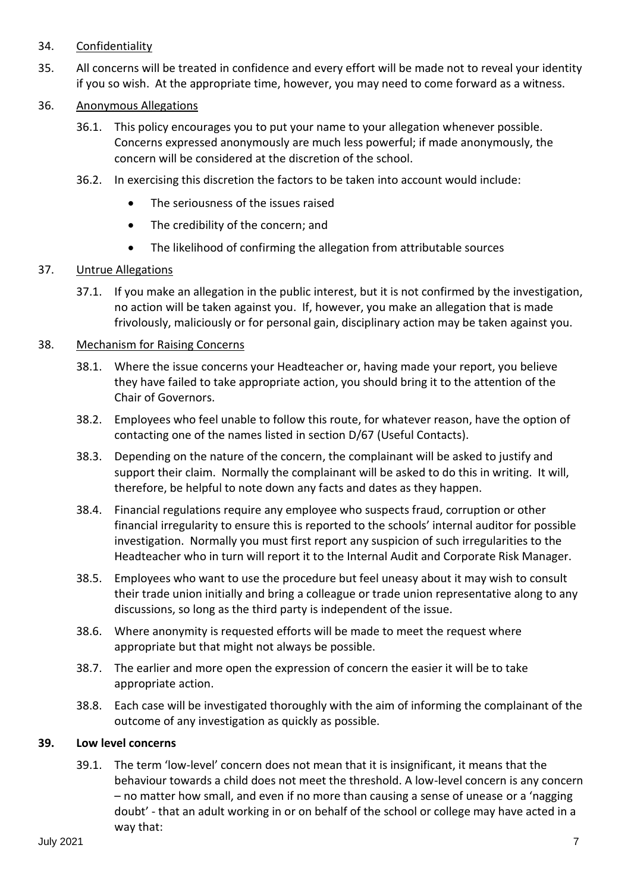#### 34. Confidentiality

35. All concerns will be treated in confidence and every effort will be made not to reveal your identity if you so wish. At the appropriate time, however, you may need to come forward as a witness.

#### 36. Anonymous Allegations

- 36.1. This policy encourages you to put your name to your allegation whenever possible. Concerns expressed anonymously are much less powerful; if made anonymously, the concern will be considered at the discretion of the school.
- 36.2. In exercising this discretion the factors to be taken into account would include:
	- The seriousness of the issues raised
	- The credibility of the concern; and
	- The likelihood of confirming the allegation from attributable sources

#### 37. Untrue Allegations

37.1. If you make an allegation in the public interest, but it is not confirmed by the investigation, no action will be taken against you. If, however, you make an allegation that is made frivolously, maliciously or for personal gain, disciplinary action may be taken against you.

#### 38. Mechanism for Raising Concerns

- 38.1. Where the issue concerns your Headteacher or, having made your report, you believe they have failed to take appropriate action, you should bring it to the attention of the Chair of Governors.
- 38.2. Employees who feel unable to follow this route, for whatever reason, have the option of contacting one of the names listed in section D/67 (Useful Contacts).
- 38.3. Depending on the nature of the concern, the complainant will be asked to justify and support their claim. Normally the complainant will be asked to do this in writing. It will, therefore, be helpful to note down any facts and dates as they happen.
- 38.4. Financial regulations require any employee who suspects fraud, corruption or other financial irregularity to ensure this is reported to the schools' internal auditor for possible investigation. Normally you must first report any suspicion of such irregularities to the Headteacher who in turn will report it to the Internal Audit and Corporate Risk Manager.
- 38.5. Employees who want to use the procedure but feel uneasy about it may wish to consult their trade union initially and bring a colleague or trade union representative along to any discussions, so long as the third party is independent of the issue.
- 38.6. Where anonymity is requested efforts will be made to meet the request where appropriate but that might not always be possible.
- 38.7. The earlier and more open the expression of concern the easier it will be to take appropriate action.
- 38.8. Each case will be investigated thoroughly with the aim of informing the complainant of the outcome of any investigation as quickly as possible.

#### **39. Low level concerns**

39.1. The term 'low-level' concern does not mean that it is insignificant, it means that the behaviour towards a child does not meet the threshold. A low-level concern is any concern – no matter how small, and even if no more than causing a sense of unease or a 'nagging doubt' - that an adult working in or on behalf of the school or college may have acted in a way that: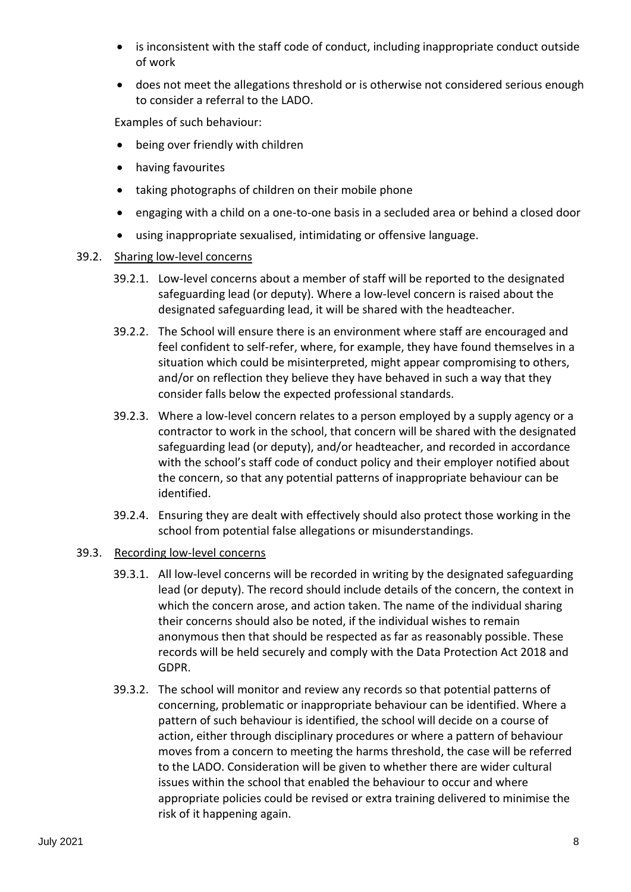- is inconsistent with the staff code of conduct, including inappropriate conduct outside of work
- does not meet the allegations threshold or is otherwise not considered serious enough to consider a referral to the LADO.

Examples of such behaviour:

- being over friendly with children
- having favourites
- taking photographs of children on their mobile phone
- engaging with a child on a one-to-one basis in a secluded area or behind a closed door
- using inappropriate sexualised, intimidating or offensive language.

# 39.2. Sharing low-level concerns

- 39.2.1. Low-level concerns about a member of staff will be reported to the designated safeguarding lead (or deputy). Where a low-level concern is raised about the designated safeguarding lead, it will be shared with the headteacher.
- 39.2.2. The School will ensure there is an environment where staff are encouraged and feel confident to self-refer, where, for example, they have found themselves in a situation which could be misinterpreted, might appear compromising to others, and/or on reflection they believe they have behaved in such a way that they consider falls below the expected professional standards.
- 39.2.3. Where a low-level concern relates to a person employed by a supply agency or a contractor to work in the school, that concern will be shared with the designated safeguarding lead (or deputy), and/or headteacher, and recorded in accordance with the school's staff code of conduct policy and their employer notified about the concern, so that any potential patterns of inappropriate behaviour can be identified.
- 39.2.4. Ensuring they are dealt with effectively should also protect those working in the school from potential false allegations or misunderstandings.

# 39.3. Recording low-level concerns

- 39.3.1. All low-level concerns will be recorded in writing by the designated safeguarding lead (or deputy). The record should include details of the concern, the context in which the concern arose, and action taken. The name of the individual sharing their concerns should also be noted, if the individual wishes to remain anonymous then that should be respected as far as reasonably possible. These records will be held securely and comply with the Data Protection Act 2018 and GDPR.
- 39.3.2. The school will monitor and review any records so that potential patterns of concerning, problematic or inappropriate behaviour can be identified. Where a pattern of such behaviour is identified, the school will decide on a course of action, either through disciplinary procedures or where a pattern of behaviour moves from a concern to meeting the harms threshold, the case will be referred to the LADO. Consideration will be given to whether there are wider cultural issues within the school that enabled the behaviour to occur and where appropriate policies could be revised or extra training delivered to minimise the risk of it happening again.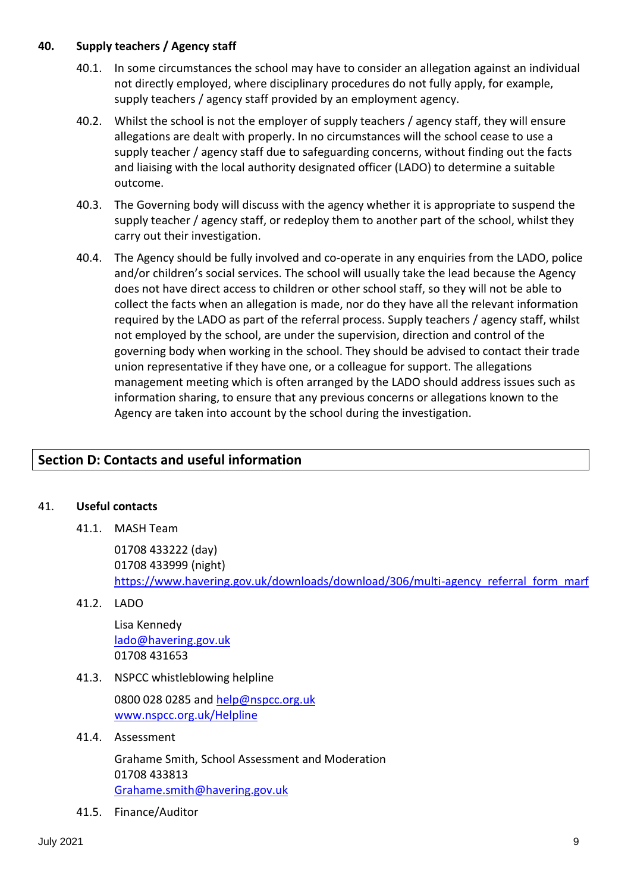#### **40. Supply teachers / Agency staff**

- 40.1. In some circumstances the school may have to consider an allegation against an individual not directly employed, where disciplinary procedures do not fully apply, for example, supply teachers / agency staff provided by an employment agency.
- 40.2. Whilst the school is not the employer of supply teachers / agency staff, they will ensure allegations are dealt with properly. In no circumstances will the school cease to use a supply teacher / agency staff due to safeguarding concerns, without finding out the facts and liaising with the local authority designated officer (LADO) to determine a suitable outcome.
- 40.3. The Governing body will discuss with the agency whether it is appropriate to suspend the supply teacher / agency staff, or redeploy them to another part of the school, whilst they carry out their investigation.
- 40.4. The Agency should be fully involved and co-operate in any enquiries from the LADO, police and/or children's social services. The school will usually take the lead because the Agency does not have direct access to children or other school staff, so they will not be able to collect the facts when an allegation is made, nor do they have all the relevant information required by the LADO as part of the referral process. Supply teachers / agency staff, whilst not employed by the school, are under the supervision, direction and control of the governing body when working in the school. They should be advised to contact their trade union representative if they have one, or a colleague for support. The allegations management meeting which is often arranged by the LADO should address issues such as information sharing, to ensure that any previous concerns or allegations known to the Agency are taken into account by the school during the investigation.

# **Section D: Contacts and useful information**

#### 41. **Useful contacts**

41.1. MASH Team

01708 433222 (day) 01708 433999 (night) https://www.havering.gov.uk/downloads/download/306/multi-agency referral form marf

41.2. LADO

Lisa Kennedy [lado@havering.gov.uk](mailto:lado@havering.gov.uk) 01708 431653

41.3. NSPCC whistleblowing helpline

0800 028 0285 and [help@nspcc.org.uk](mailto:help@nspcc.org.uk) [www.nspcc.org.uk/Helpline](http://www.nspcc.org.uk/Helpline)

41.4. Assessment

Grahame Smith, School Assessment and Moderation 01708 433813 [Grahame.smith@havering.gov.uk](mailto:Grahame.smith@havering.gov.uk)

41.5. Finance/Auditor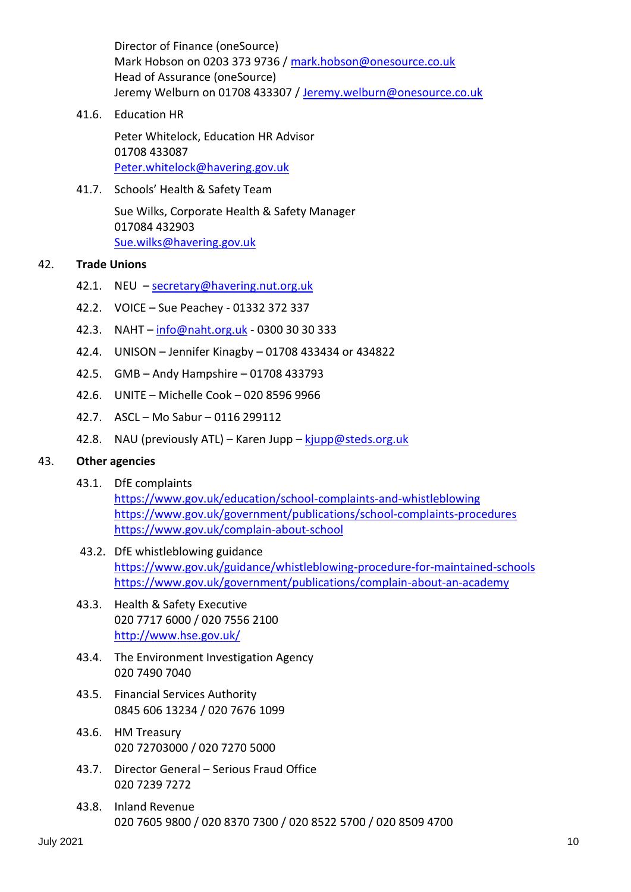Director of Finance (oneSource) Mark Hobson on 0203 373 9736 / [mark.hobson@onesource.co.uk](mailto:mark.hobson@onesource.co.uk) Head of Assurance (oneSource) Jeremy Welburn on 01708 433307 / [Jeremy.welburn@onesource.co.uk](mailto:Jeremy.welburn@onesource.co.uk)

41.6. Education HR

Peter Whitelock, Education HR Advisor 01708 433087 [Peter.whitelock@havering.gov.uk](mailto:Peter.whitelock@havering.gov.uk)

41.7. Schools' Health & Safety Team

Sue Wilks, Corporate Health & Safety Manager 017084 432903 [Sue.wilks@havering.gov.uk](mailto:Sue.wilks@havering.gov.uk)

# 42. **Trade Unions**

- 42.1. NEU [secretary@havering.nut.org.uk](mailto:secretary@havering.nut.org.uk)
- 42.2. VOICE Sue Peachey 01332 372 337
- 42.3. NAHT [info@naht.org.uk](mailto:info@naht.org.uk) 0300 30 30 333
- 42.4. UNISON Jennifer Kinagby 01708 433434 or 434822
- 42.5. GMB Andy Hampshire 01708 433793
- 42.6. UNITE Michelle Cook 020 8596 9966
- 42.7. ASCL Mo Sabur 0116 299112
- 42.8. NAU (previously ATL) Karen Jupp  $kip \omega$ steds.org.uk

#### 43. **Other agencies**

43.1. DfE complaints

<https://www.gov.uk/education/school-complaints-and-whistleblowing> <https://www.gov.uk/government/publications/school-complaints-procedures> <https://www.gov.uk/complain-about-school>

- 43.2. DfE whistleblowing guidance <https://www.gov.uk/guidance/whistleblowing-procedure-for-maintained-schools> <https://www.gov.uk/government/publications/complain-about-an-academy>
- 43.3. Health & Safety Executive 020 7717 6000 / 020 7556 2100 <http://www.hse.gov.uk/>
- 43.4. The Environment Investigation Agency 020 7490 7040
- 43.5. Financial Services Authority 0845 606 13234 / 020 7676 1099
- 43.6. HM Treasury 020 72703000 / 020 7270 5000
- 43.7. Director General Serious Fraud Office 020 7239 7272
- 43.8. Inland Revenue 020 7605 9800 / 020 8370 7300 / 020 8522 5700 / 020 8509 4700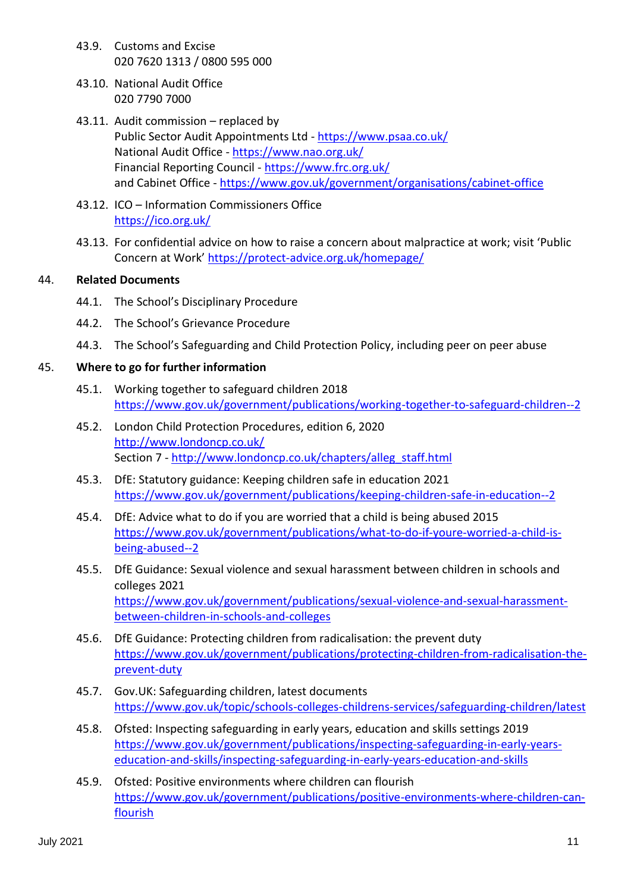- 43.9. Customs and Excise 020 7620 1313 / 0800 595 000
- 43.10. National Audit Office 020 7790 7000
- 43.11. Audit commission replaced by Public Sector Audit Appointments Ltd - <https://www.psaa.co.uk/> National Audit Office - <https://www.nao.org.uk/> Financial Reporting Council - <https://www.frc.org.uk/> and Cabinet Office - <https://www.gov.uk/government/organisations/cabinet-office>
- 43.12. ICO Information Commissioners Office <https://ico.org.uk/>
- 43.13. For confidential advice on how to raise a concern about malpractice at work; visit 'Public Concern at Work' <https://protect-advice.org.uk/homepage/>

# 44. **Related Documents**

- 44.1. The School's Disciplinary Procedure
- 44.2. The School's Grievance Procedure
- 44.3. The School's Safeguarding and Child Protection Policy, including peer on peer abuse

# 45. **Where to go for further information**

- 45.1. Working together to safeguard children 2018 <https://www.gov.uk/government/publications/working-together-to-safeguard-children--2>
- 45.2. London Child Protection Procedures, edition 6, 2020 <http://www.londoncp.co.uk/> Section 7 - [http://www.londoncp.co.uk/chapters/alleg\\_staff.html](http://www.londoncp.co.uk/chapters/alleg_staff.html)
- 45.3. DfE: Statutory guidance: Keeping children safe in education 2021 <https://www.gov.uk/government/publications/keeping-children-safe-in-education--2>
- 45.4. DfE: Advice what to do if you are worried that a child is being abused 2015 [https://www.gov.uk/government/publications/what-to-do-if-youre-worried-a-child-is](https://www.gov.uk/government/publications/what-to-do-if-youre-worried-a-child-is-being-abused--2)[being-abused--2](https://www.gov.uk/government/publications/what-to-do-if-youre-worried-a-child-is-being-abused--2)
- 45.5. DfE Guidance: [Sexual violence and sexual harassment between children in schools and](https://www.gov.uk/government/uploads/system/uploads/attachment_data/file/719902/Sexual_violence_and_sexual_harassment_between_children_in_schools_and_colleges.pdf)  [colleges](https://www.gov.uk/government/uploads/system/uploads/attachment_data/file/719902/Sexual_violence_and_sexual_harassment_between_children_in_schools_and_colleges.pdf) 2021 [https://www.gov.uk/government/publications/sexual-violence-and-sexual-harassment](https://www.gov.uk/government/publications/sexual-violence-and-sexual-harassment-between-children-in-schools-and-colleges)[between-children-in-schools-and-colleges](https://www.gov.uk/government/publications/sexual-violence-and-sexual-harassment-between-children-in-schools-and-colleges)
- 45.6. DfE Guidance: Protecting children from radicalisation: the prevent duty [https://www.gov.uk/government/publications/protecting-children-from-radicalisation-the](https://www.gov.uk/government/publications/protecting-children-from-radicalisation-the-prevent-duty)[prevent-duty](https://www.gov.uk/government/publications/protecting-children-from-radicalisation-the-prevent-duty)
- 45.7. Gov.UK: Safeguarding children, latest documents <https://www.gov.uk/topic/schools-colleges-childrens-services/safeguarding-children/latest>
- 45.8. Ofsted: Inspecting safeguarding in early years, education and skills settings 2019 [https://www.gov.uk/government/publications/inspecting-safeguarding-in-early-years](https://www.gov.uk/government/publications/inspecting-safeguarding-in-early-years-education-and-skills/inspecting-safeguarding-in-early-years-education-and-skills)[education-and-skills/inspecting-safeguarding-in-early-years-education-and-skills](https://www.gov.uk/government/publications/inspecting-safeguarding-in-early-years-education-and-skills/inspecting-safeguarding-in-early-years-education-and-skills)
- 45.9. Ofsted: Positive environments where children can flourish [https://www.gov.uk/government/publications/positive-environments-where-children-can](https://www.gov.uk/government/publications/positive-environments-where-children-can-flourish)[flourish](https://www.gov.uk/government/publications/positive-environments-where-children-can-flourish)